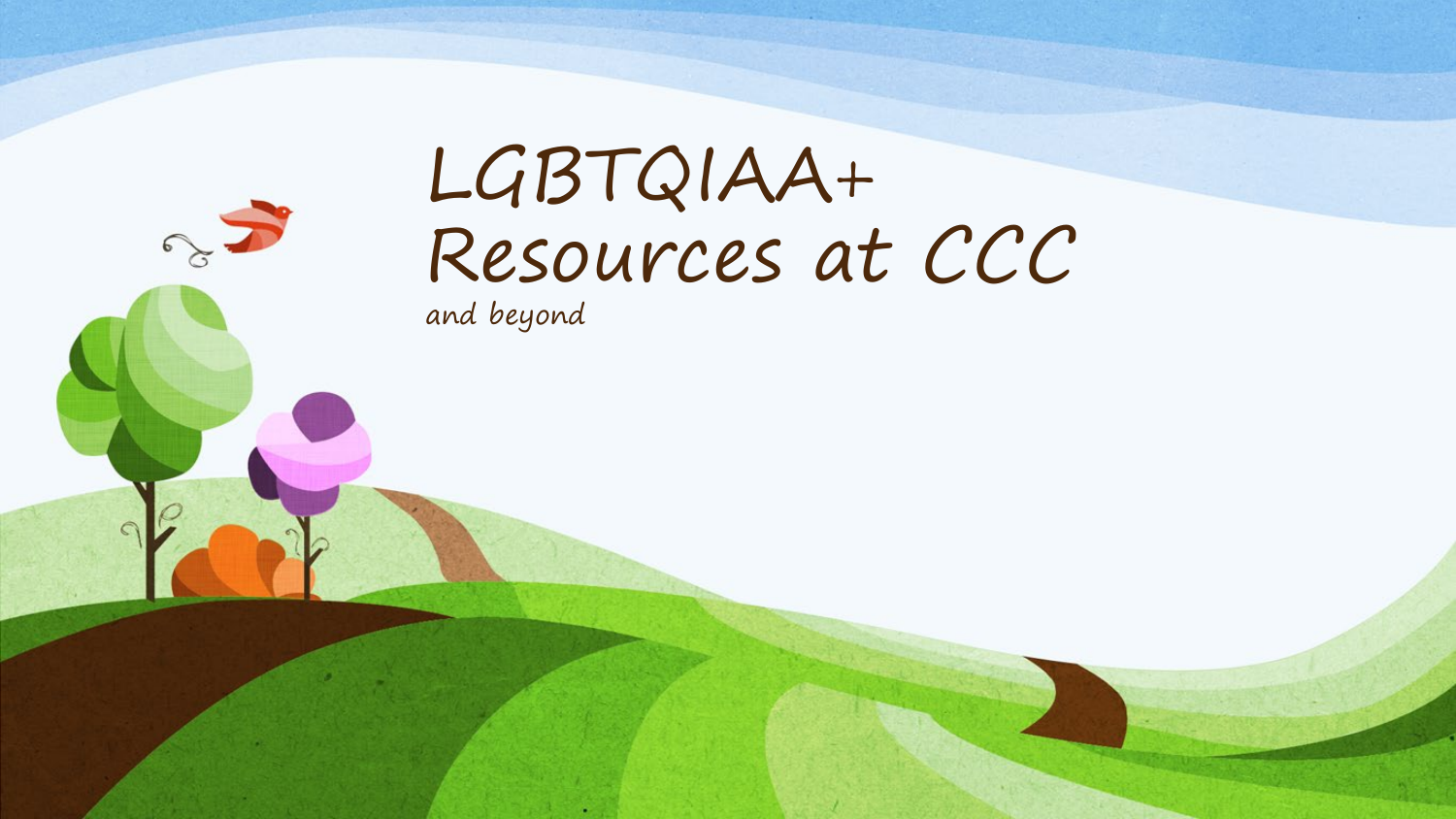# LGBTQIAA+ Resources at CCC

and beyond

23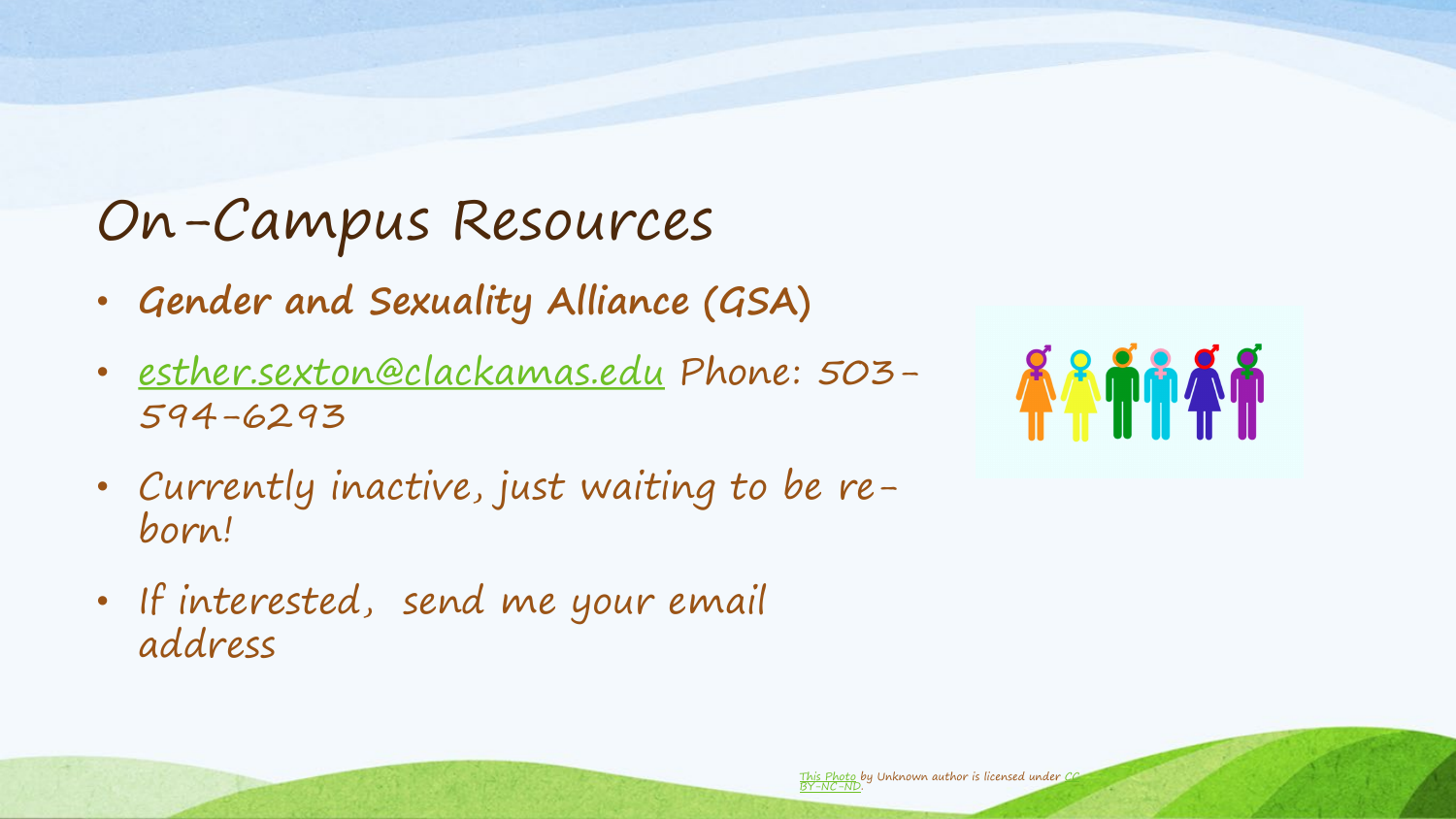#### On-Campus Resources

- **Gender and Sexuality Alliance (GSA)**
- [esther.sexton@clackamas.edu](mailto:esther.sexton@clackamas.edu) Phone: 503- 594-6293
- Currently inactive, just waiting to be reborn!
- If interested, send me your email address

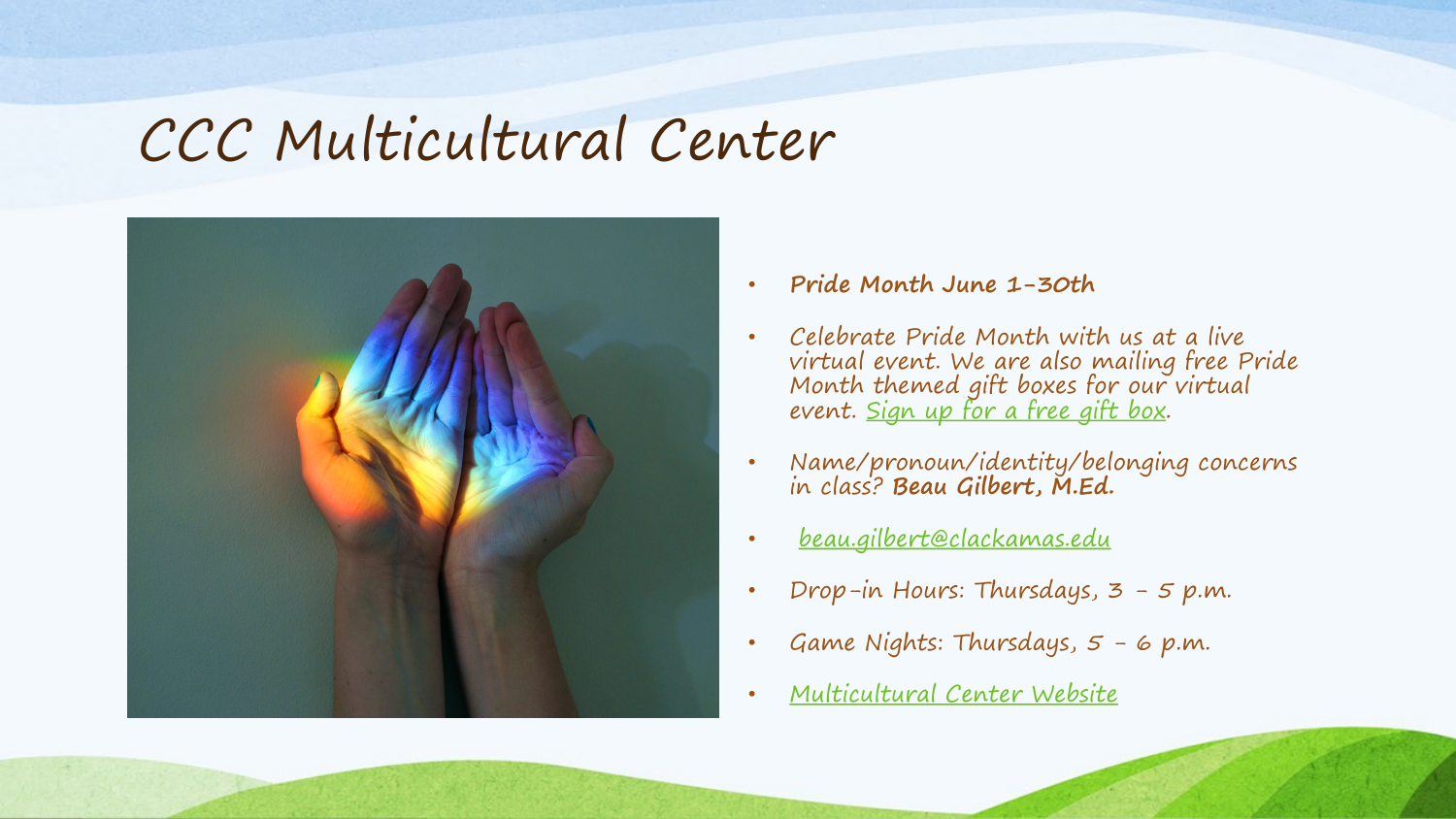#### CCC Multicultural Center



- **Pride Month June 1-30th**
- Celebrate Pride Month with us at a live virtual event. We are also mailing free Pride Month themed gift boxes for our virtual event. [Sign up for a free gift box.](https://docs.google.com/forms/d/e/1FAIpQLScd8ARJgsSEqRFh_-ikkGBkOF9sgDqHSOg6sLxq4_FNbKoDBQ/viewform?usp=sf_link)
- Name/pronoun/identity/belonging concerns in class? **Beau Gilbert, M.Ed.**
- [beau.gilbert@clackamas.edu](mailto:%3Cbeau.gilbert@clackamas.edu)
- Drop-in Hours: Thursdays,  $3 5$  p.m.
- Game Nights: Thursdays, 5 6 p.m.
- [Multicultural Center Website](https://www.clackamas.edu/campus-life/student-involvement/multicultural-center)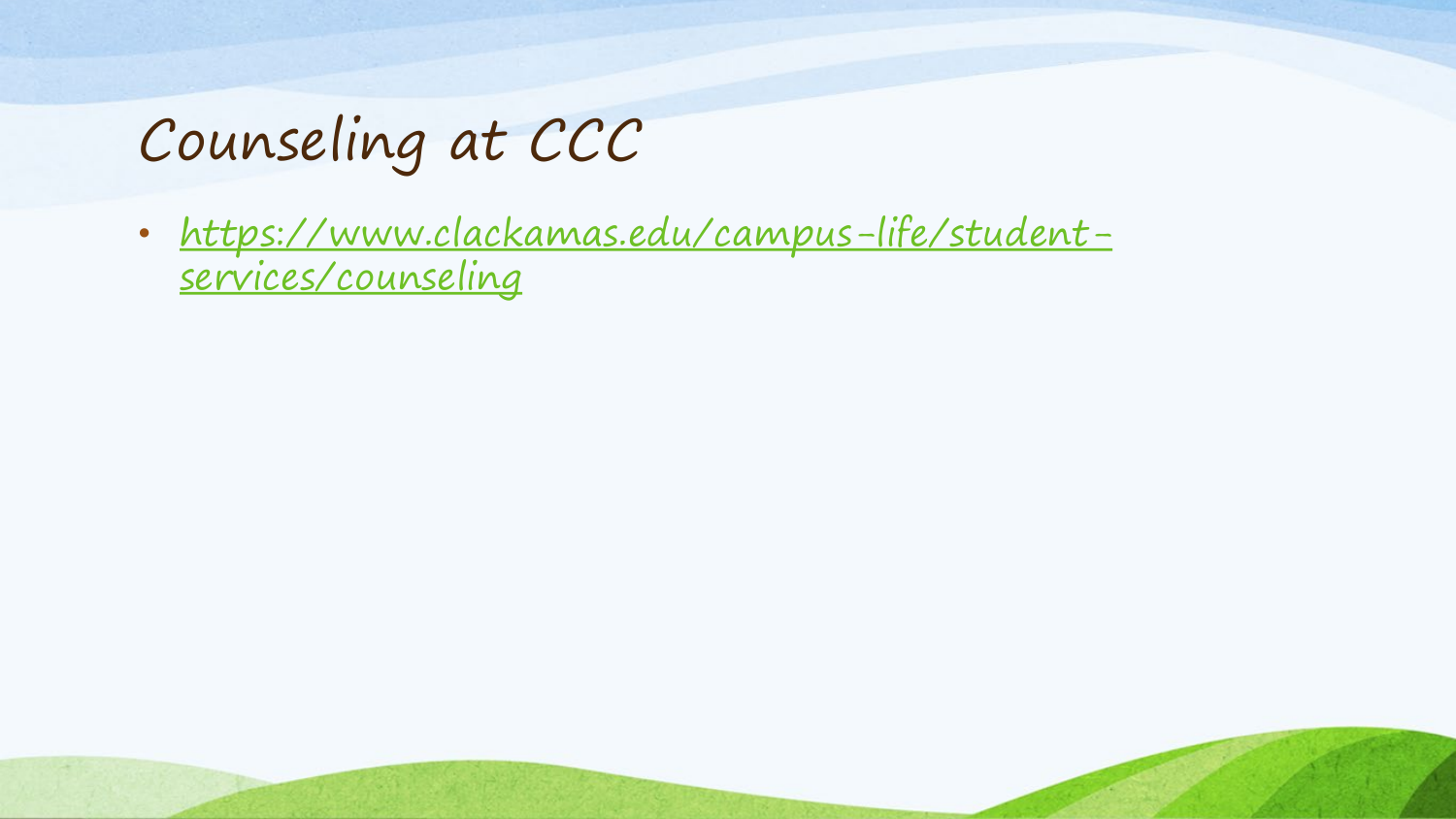## Counseling at CCC

• <u>https://www.clackamas.edu/campus-life/student-</u> services/counseling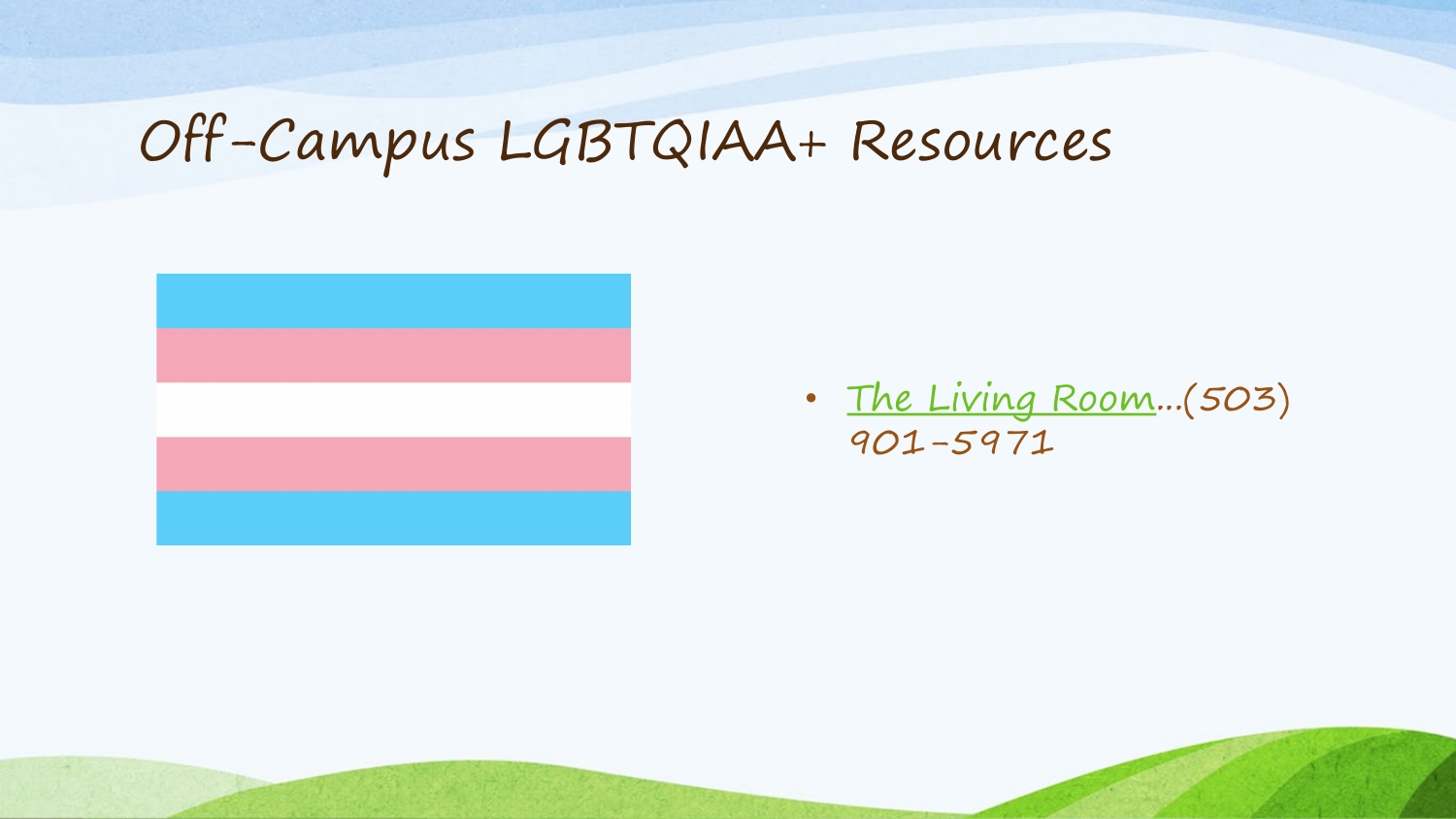## Off-Campus LGBTQIAA+ Resources



• [The Living Room](https://www.thelivingroomyouth.org/)...(503) 901-5971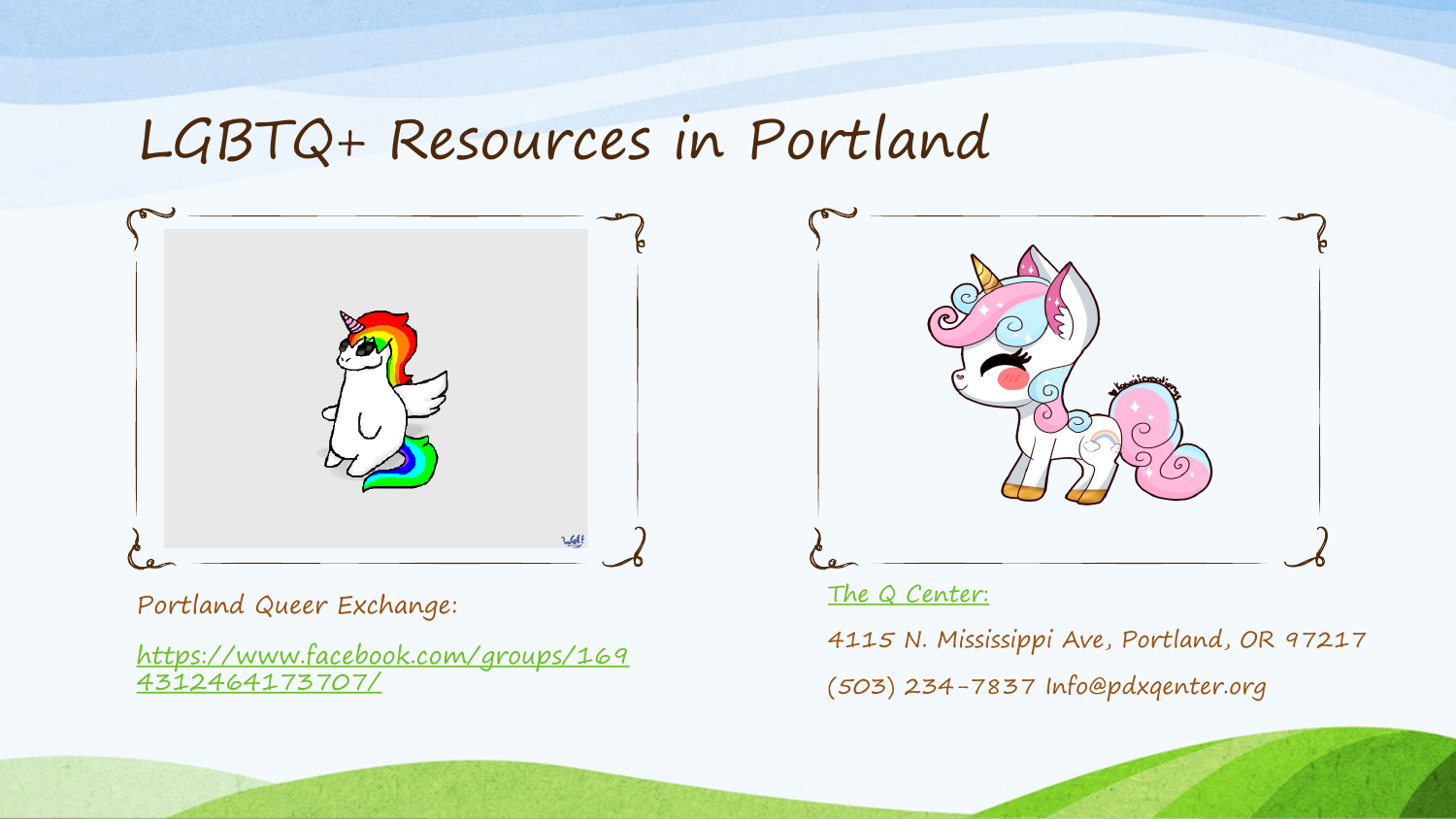#### LGBTQ+ Resources in Portland



Portland Queer Exchange:

[https://www.facebook.com/groups/169](https://www.facebook.com/groups/1694312464173707/) 4312464173707/



#### [The Q Center:](https://www.pdxqcenter.org/)

4115 N. Mississippi Ave, Portland, OR 97217 (503) 234-7837 Info@pdxqenter.org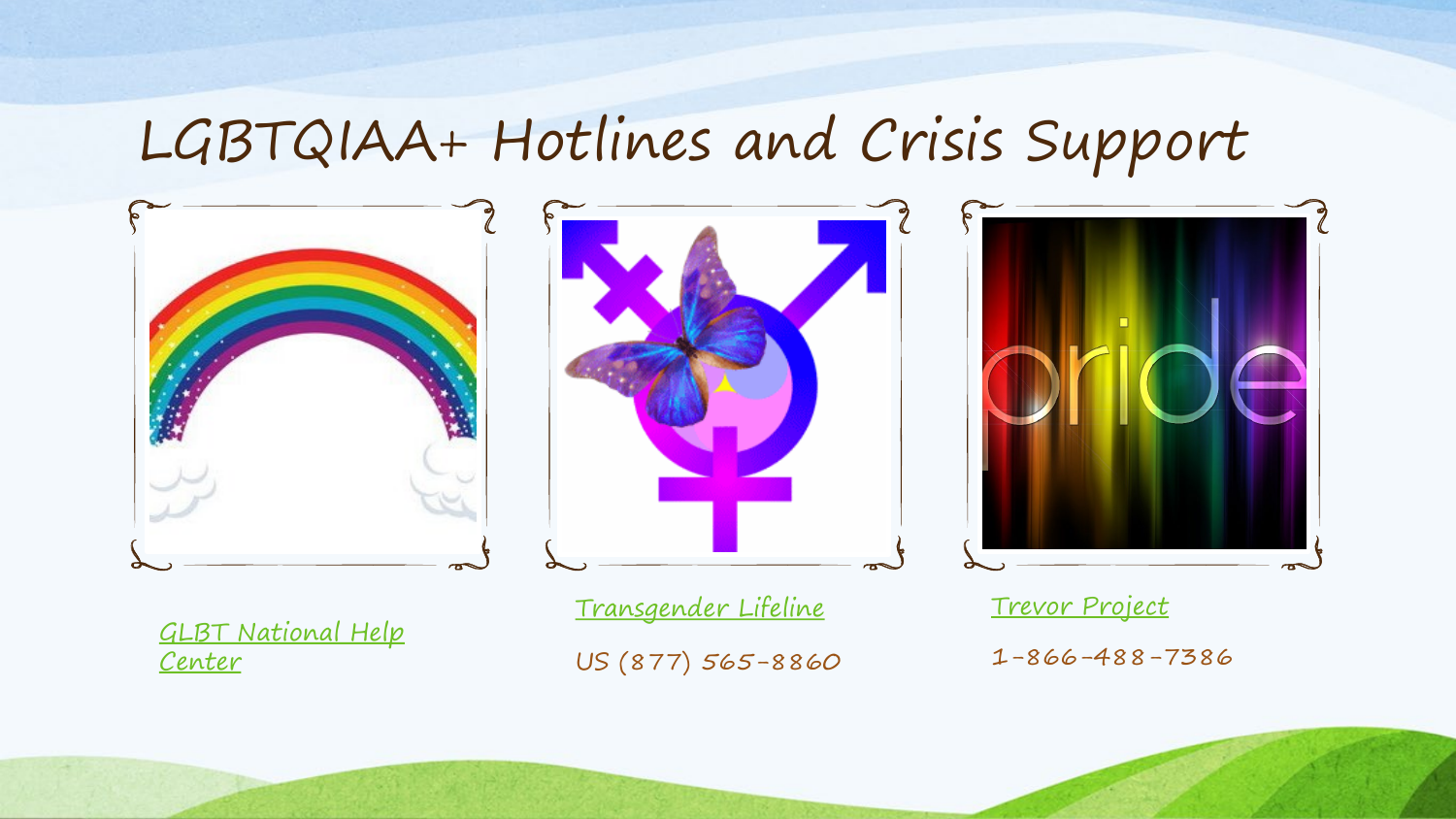### LGBTQIAA+ Hotlines and Crisis Support



[GLBT National Help](http://glbtnationalhelpcenter.org/)  Center

[Transgender Lifeline](https://translifeline.org/) US (877) 565-8860 [Trevor Project](https://www.thetrevorproject.org/get-help-now/#tt) 1-866-488-7386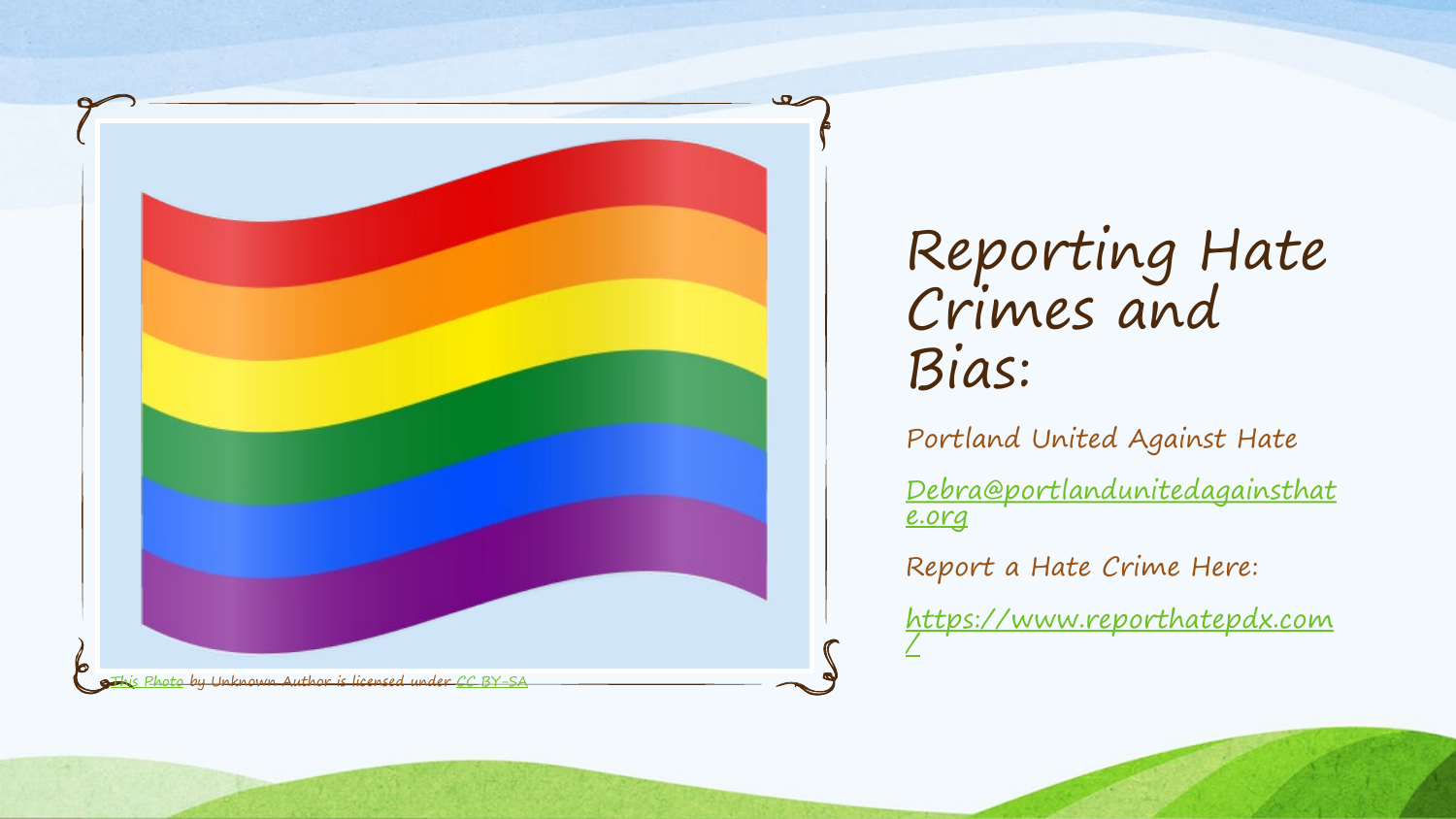

Reporting Hate Crimes and Bias:

Portland United Against Hate

[Debra@portlandunitedagainsthat](mailto:Debra@portlandunitedagainsthate.org) e.org

Report a Hate Crime Here:

[https://www.reporthatepdx.com](https://www.reporthatepdx.com/)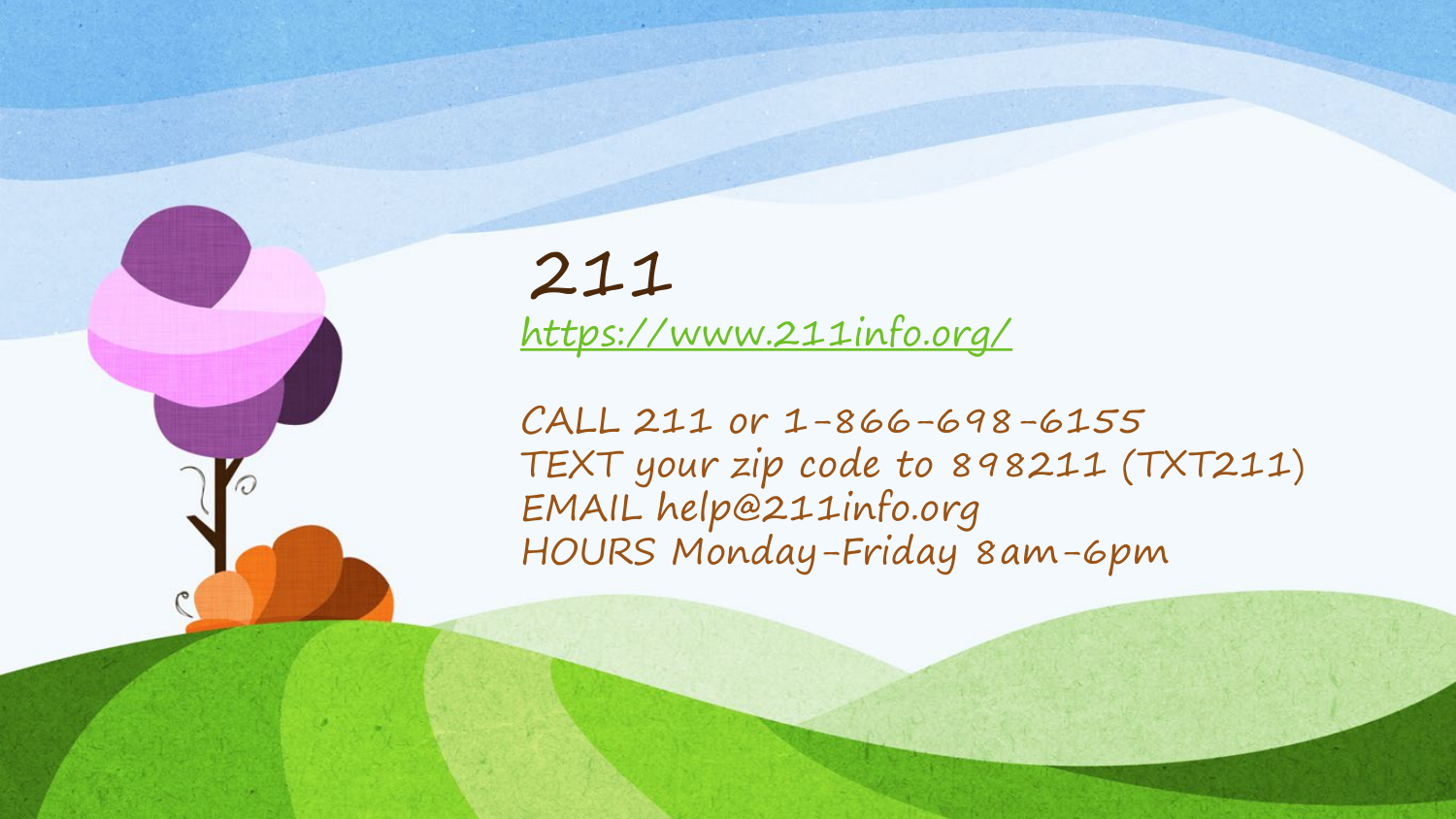# 211

<https://www.211info.org/>

CALL 211 or 1-866-698-6155 TEXT your zip code to 898211 (TXT211) EMAIL help@211info.org HOURS Monday-Friday 8am-6pm